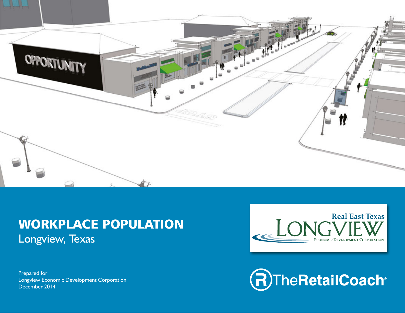

# WORKPLACE POPULATION Longview, Texas

Prepared for Longview Economic Development Corporation December 2014



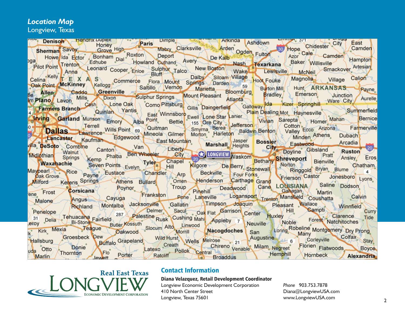# *Location Map*

Longview, Texas

| Sherman Savey High Baris Dimple Machine Market Ashdown<br>De Kalb Home Home Chidester City East Camden<br>Pilot Point Trenton Leonard Cooper Enloe Sulphur Talco New Boston Wake Lewisville Magnolia Smackover Artesian<br>Relix Anna L                                                        |
|------------------------------------------------------------------------------------------------------------------------------------------------------------------------------------------------------------------------------------------------------------------------------------------------|
|                                                                                                                                                                                                                                                                                                |
|                                                                                                                                                                                                                                                                                                |
|                                                                                                                                                                                                                                                                                                |
|                                                                                                                                                                                                                                                                                                |
|                                                                                                                                                                                                                                                                                                |
|                                                                                                                                                                                                                                                                                                |
| Celina Kelly E X A School Commerce Flora Mount Springs Date Date of Bloombing Button Millage Calion Calion Calion Cash Competition Cash Competition Cash Competition Cash Competition Competition Cash Competition Competition                                                                 |
|                                                                                                                                                                                                                                                                                                |
|                                                                                                                                                                                                                                                                                                |
| Terrell Minister Raufman Edgewood East Mountain Test Monte Line Summer Market Minister Raufman Edgewood East Mountain (Monte Marshall Heinhis Besser Rate Minden Afhens Dubach Contraction Control Minister Raufman Edgewood E                                                                 |
|                                                                                                                                                                                                                                                                                                |
|                                                                                                                                                                                                                                                                                                |
|                                                                                                                                                                                                                                                                                                |
|                                                                                                                                                                                                                                                                                                |
| Edgewood East Mountain Marshall Haights Bossier Canton Athens Dubach<br>Canton Canton Phalba Ben Wheeler City Chapel City Doyline Gibsland Pratt<br>Springs Kemp Phalba Ben Wheeler City Chapel City Doyline Gibsland Pratt Ansley<br>villa <b>DeSoto</b> Combine Canton Van Liberty<br>$-20-$ |
|                                                                                                                                                                                                                                                                                                |
| Midlothian<br><b>Eros</b>                                                                                                                                                                                                                                                                      |
| Waxabachie Seven Points Evelyn Tyler Chapel Kilgore De Berry Stonewall Norton Ringgold Bryan Blume<br>Chatham                                                                                                                                                                                  |
|                                                                                                                                                                                                                                                                                                |
| Maypearl Rice Payne Eustace Chandler Arp Beckville Four Forks Frierson Castor Jonesboro Lyons<br>Milford                                                                                                                                                                                       |
|                                                                                                                                                                                                                                                                                                |
| ene Frost                                                                                                                                                                                                                                                                                      |
| Refers Springs Cathers Bullard Troup Troup Troup Deadwood Cand LOUISIANA Saline Dodson<br>Malone                                                                                                                                                                                               |
|                                                                                                                                                                                                                                                                                                |
| Curry                                                                                                                                                                                                                                                                                          |
|                                                                                                                                                                                                                                                                                                |
| Malone Richland Montalba Jacksonville Callatin Sacul Delmer Sacul Delmer Sacul Delmer Sacul Delmer Sacul Delmer Sacul Delmer Sacul Delmer Huxley Hill Clarence Tide<br>Leroy <sup>31</sup> Delia Tehuacana Fairfield Butler Kossuth Slocum                                                     |
| Hallsburg Groesbeck Dew                                                                                                                                                                                                                                                                        |
|                                                                                                                                                                                                                                                                                                |
| uda Otto                                                                                                                                                                                                                                                                                       |
| Donie Buffalo Grapeland Wild Hurst Wells Melrose 21 Augustine Colfax Stay Content<br>Donie Polite Chireno Venable Milam Negreet Florien Flatwoods Boyce<br>Hemphill Hurst Ratchiff Ratchiff Rentral Hemphill (1999) (Colfax Stay<br>Thornton<br><b>Marlin</b>                                  |



#### Contact Information

#### Diana Velazquez, Retail Development Coordinator

410 North Center Street Longview, Texas 75601

*Phone* 903.753.7878 Diana@LongviewUSA.com www.LongviewUSA.com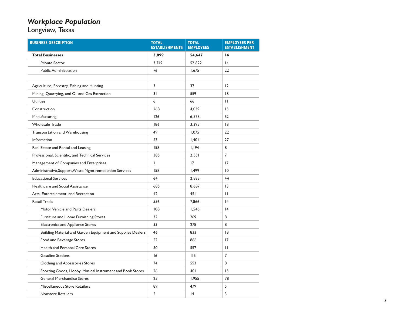#### *Workplace Population*

Longview, Texas

| <b>BUSINESS DESCRIPTION</b>                                 | <b>TOTAL</b><br><b>ESTABLISHMENTS</b> | <b>TOTAL</b><br><b>EMPLOYEES</b> | <b>EMPLOYEES PER</b><br><b>ESTABLISHMENT</b> |
|-------------------------------------------------------------|---------------------------------------|----------------------------------|----------------------------------------------|
| <b>Total Businesses</b>                                     | 3,899                                 | 54,647                           | $\overline{14}$                              |
| <b>Private Sector</b>                                       | 3,749                                 | 52,822                           | 4                                            |
| <b>Public Administration</b>                                | 76                                    | 1,675                            | 22                                           |
|                                                             |                                       |                                  |                                              |
| Agriculture, Forestry, Fishing and Hunting                  | 3                                     | 37                               | 12                                           |
| Mining, Quarrying, and Oil and Gas Extraction               | 31                                    | 559                              | 8                                            |
| <b>Utilities</b>                                            | 6                                     | 66                               | Ш                                            |
| Construction                                                | 268                                   | 4,039                            | 15                                           |
| Manufacturing                                               | 126                                   | 6,578                            | 52                                           |
| <b>Wholesale Trade</b>                                      | 186                                   | 3,395                            | 8                                            |
| Transportation and Warehousing                              | 49                                    | 1,075                            | 22                                           |
| Information                                                 | 53                                    | 1,404                            | 27                                           |
| Real Estate and Rental and Leasing                          | 158                                   | 1,194                            | 8                                            |
| Professional, Scientific, and Technical Services            | 385                                   | 2,551                            | $\overline{7}$                               |
| Management of Companies and Enterprises                     | L                                     | 17                               | 17                                           |
| Administrative, Support, Waste Mgmt remediation Services    | 158                                   | 1,499                            | $\overline{10}$                              |
| <b>Educational Services</b>                                 | 64                                    | 2,833                            | 44                                           |
| Healthcare and Social Assistance                            | 685                                   | 8,687                            | $\overline{13}$                              |
| Arts, Entertainment, and Recreation                         | 42                                    | 451                              | П                                            |
| <b>Retail Trade</b>                                         | 556                                   | 7,866                            | 4                                            |
| Motor Vehicle and Parts Dealers                             | 108                                   | 1,546                            | 4                                            |
| Furniture and Home Furnishing Stores                        | 32                                    | 269                              | 8                                            |
| <b>Electronics and Appliance Stores</b>                     | 33                                    | 278                              | 8                                            |
| Building Material and Garden Equipment and Supplies Dealers | 46                                    | 833                              | 18                                           |
| Food and Beverage Stores                                    | 52                                    | 866                              | 17                                           |
| Health and Personal Care Stores                             | 50                                    | 557                              | Ш                                            |
| <b>Gasoline Stations</b>                                    | 16                                    | 115                              | $\overline{7}$                               |
| Clothing and Accessories Stores                             | 74                                    | 553                              | 8                                            |
| Sporting Goods, Hobby, Musical Instrument and Book Stores   | 26                                    | 401                              | 15                                           |
| <b>General Merchandise Stores</b>                           | 25                                    | 1,955                            | 78                                           |
| Miscellaneous Store Retailers                               | 89                                    | 479                              | 5                                            |
| <b>Nonstore Retailers</b>                                   | 5                                     | 4                                | 3                                            |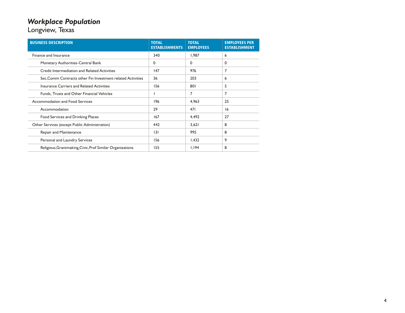### *Workplace Population*

Longview, Texas

| <b>BUSINESS DESCRIPTION</b>                                 | <b>TOTAL</b><br><b>ESTABLISHMENTS</b> | <b>TOTAL</b><br><b>EMPLOYEES</b> | <b>EMPLOYEES PER</b><br><b>ESTABLISHMENT</b> |
|-------------------------------------------------------------|---------------------------------------|----------------------------------|----------------------------------------------|
| Finance and Insurance                                       | 340                                   | 1.987                            | 6                                            |
| Monetary Authorities-Central Bank                           | 0                                     | 0                                | 0                                            |
| Credit Intermediation and Related Activities                | 147                                   | 976                              | 7                                            |
| Sec, Comm Contracts other Fin Investment related Activities | 36                                    | 203                              | 6                                            |
| Insurance Carriers and Related Activities                   | 156                                   | 801                              | 5                                            |
| Funds. Trusts and Other Financial Vehicles                  |                                       | 7                                | 7                                            |
| Accommodation and Food Services                             | 196                                   | 4.963                            | 25                                           |
| Accommodation                                               | 29                                    | 471                              | 16                                           |
| Food Services and Drinking Places                           | 167                                   | 4,492                            | 27                                           |
| Other Services (except Public Administration)               | 442                                   | 3,621                            | 8                                            |
| Repair and Maintenance                                      | 3                                     | 995                              | 8                                            |
| Personal and Laundry Services                               | 156                                   | 1,432                            | 9                                            |
| Religious, Grantmaking, Civic, Prof Similar Organizations   | 155                                   | 1,194                            | 8                                            |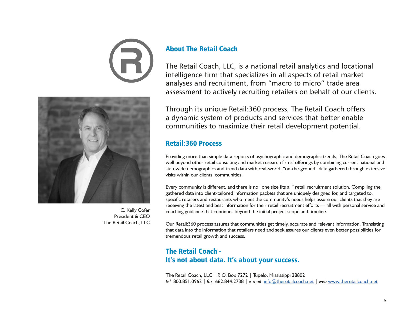



C. Kelly Cofer President & CEO The Retail Coach, LLC

## About The Retail Coach

The Retail Coach, LLC, is a national retail analytics and locational intelligence firm that specializes in all aspects of retail market analyses and recruitment, from "macro to micro" trade area assessment to actively recruiting retailers on behalf of our clients.

Through its unique Retail:360 process, The Retail Coach offers a dynamic system of products and services that better enable communities to maximize their retail development potential.

#### Retail:360 Process

Providing more than simple data reports of psychographic and demographic trends, The Retail Coach goes well beyond other retail consulting and market research firms' offerings by combining current national and statewide demographics and trend data with real-world, "on-the-ground" data gathered through extensive visits within our clients' communities.

Every community is different, and there is no "one size fits all" retail recruitment solution. Compiling the gathered data into client-tailored information packets that are uniquely designed for, and targeted to, specific retailers and restaurants who meet the community's needs helps assure our clients that they are receiving the latest and best information for their retail recruitment efforts — all with personal service and coaching guidance that continues beyond the initial project scope and timeline.

Our Retail:360 process assures that communities get timely, accurate and relevant information. Translating that data into the information that retailers need and seek assures our clients even better possibilities for tremendous retail growth and success.

# The Retail Coach - It's not about data. It's about your success.

The Retail Coach, LLC | P. O. Box 7272 | Tupelo, Mississippi 38802 *tel* 800.851.0962 | *fax* 662.844.2738 | *e-mail* info@theretailcoach.net | *web* www.theretailcoach.net